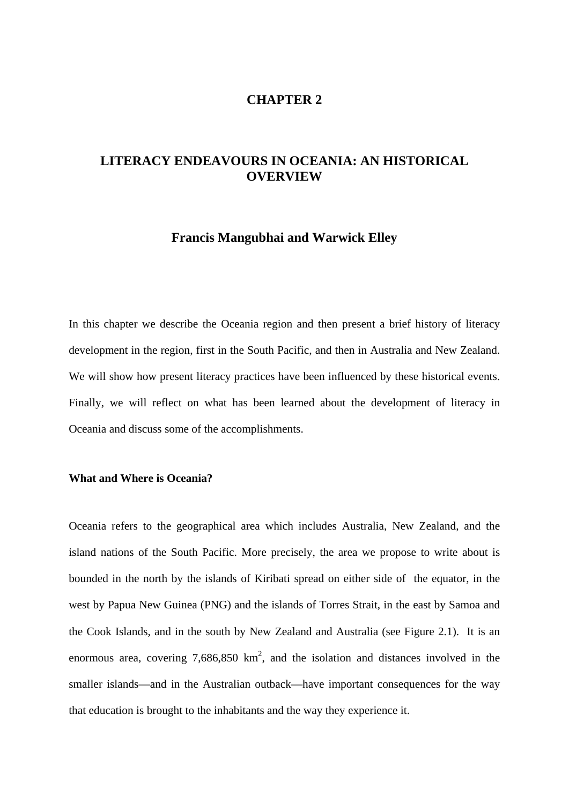# **CHAPTER 2**

# **LITERACY ENDEAVOURS IN OCEANIA: AN HISTORICAL OVERVIEW**

# **Francis Mangubhai and Warwick Elley**

In this chapter we describe the Oceania region and then present a brief history of literacy development in the region, first in the South Pacific, and then in Australia and New Zealand. We will show how present literacy practices have been influenced by these historical events. Finally, we will reflect on what has been learned about the development of literacy in Oceania and discuss some of the accomplishments.

## **What and Where is Oceania?**

Oceania refers to the geographical area which includes Australia, New Zealand, and the island nations of the South Pacific. More precisely, the area we propose to write about is bounded in the north by the islands of Kiribati spread on either side of the equator, in the west by Papua New Guinea (PNG) and the islands of Torres Strait, in the east by Samoa and the Cook Islands, and in the south by New Zealand and Australia (see Figure 2.1). It is an enormous area, covering  $7,686,850 \text{ km}^2$ , and the isolation and distances involved in the smaller islands—and in the Australian outback—have important consequences for the way that education is brought to the inhabitants and the way they experience it.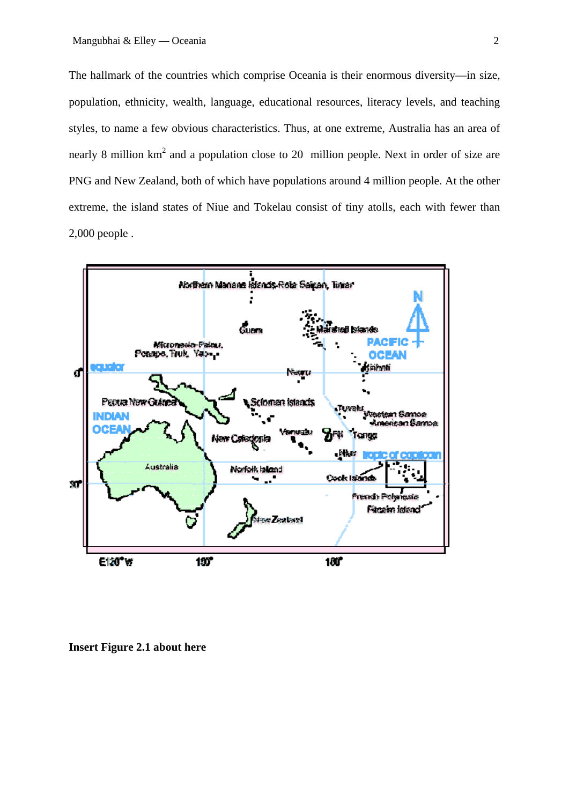The hallmark of the countries which comprise Oceania is their enormous diversity—in size, population, ethnicity, wealth, language, educational resources, literacy levels, and teaching styles, to name a few obvious characteristics. Thus, at one extreme, Australia has an area of nearly 8 million  $km^2$  and a population close to 20 million people. Next in order of size are PNG and New Zealand, both of which have populations around 4 million people. At the other extreme, the island states of Niue and Tokelau consist of tiny atolls, each with fewer than 2,000 people .



**Insert Figure 2.1 about here**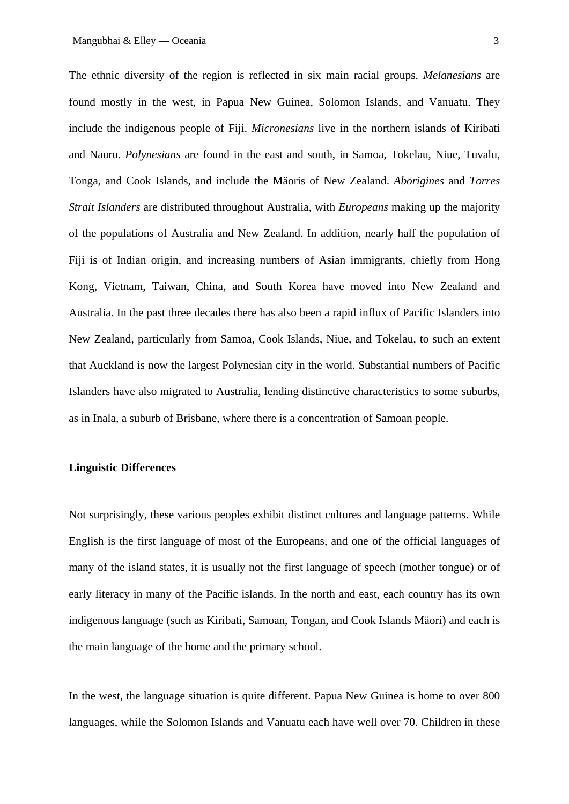The ethnic diversity of the region is reflected in six main racial groups. *Melanesians* are found mostly in the west, in Papua New Guinea, Solomon Islands, and Vanuatu. They include the indigenous people of Fiji. *Micronesians* live in the northern islands of Kiribati and Nauru. *Polynesians* are found in the east and south, in Samoa, Tokelau, Niue, Tuvalu, Tonga, and Cook Islands, and include the Mäoris of New Zealand. *Aborigines* and *Torres Strait Islanders* are distributed throughout Australia, with *Europeans* making up the majority of the populations of Australia and New Zealand. In addition, nearly half the population of Fiji is of Indian origin, and increasing numbers of Asian immigrants, chiefly from Hong Kong, Vietnam, Taiwan, China, and South Korea have moved into New Zealand and Australia. In the past three decades there has also been a rapid influx of Pacific Islanders into New Zealand, particularly from Samoa, Cook Islands, Niue, and Tokelau, to such an extent that Auckland is now the largest Polynesian city in the world. Substantial numbers of Pacific Islanders have also migrated to Australia, lending distinctive characteristics to some suburbs, as in Inala, a suburb of Brisbane, where there is a concentration of Samoan people.

## **Linguistic Differences**

Not surprisingly, these various peoples exhibit distinct cultures and language patterns. While English is the first language of most of the Europeans, and one of the official languages of many of the island states, it is usually not the first language of speech (mother tongue) or of early literacy in many of the Pacific islands. In the north and east, each country has its own indigenous language (such as Kiribati, Samoan, Tongan, and Cook Islands Mäori) and each is the main language of the home and the primary school.

In the west, the language situation is quite different. Papua New Guinea is home to over 800 languages, while the Solomon Islands and Vanuatu each have well over 70. Children in these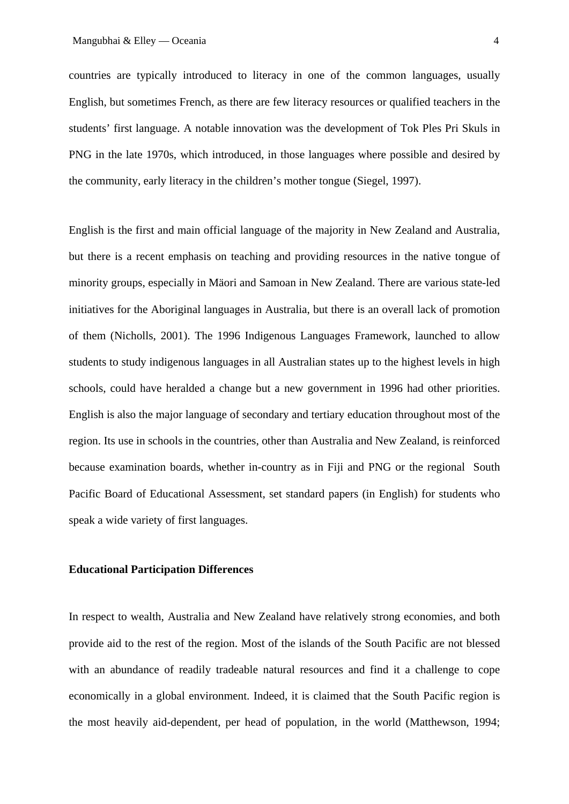countries are typically introduced to literacy in one of the common languages, usually English, but sometimes French, as there are few literacy resources or qualified teachers in the students' first language. A notable innovation was the development of Tok Ples Pri Skuls in PNG in the late 1970s, which introduced, in those languages where possible and desired by the community, early literacy in the children's mother tongue (Siegel, 1997).

English is the first and main official language of the majority in New Zealand and Australia, but there is a recent emphasis on teaching and providing resources in the native tongue of minority groups, especially in Mäori and Samoan in New Zealand. There are various state-led initiatives for the Aboriginal languages in Australia, but there is an overall lack of promotion of them (Nicholls, 2001). The 1996 Indigenous Languages Framework, launched to allow students to study indigenous languages in all Australian states up to the highest levels in high schools, could have heralded a change but a new government in 1996 had other priorities. English is also the major language of secondary and tertiary education throughout most of the region. Its use in schools in the countries, other than Australia and New Zealand, is reinforced because examination boards, whether in-country as in Fiji and PNG or the regional South Pacific Board of Educational Assessment, set standard papers (in English) for students who speak a wide variety of first languages.

## **Educational Participation Differences**

In respect to wealth, Australia and New Zealand have relatively strong economies, and both provide aid to the rest of the region. Most of the islands of the South Pacific are not blessed with an abundance of readily tradeable natural resources and find it a challenge to cope economically in a global environment. Indeed, it is claimed that the South Pacific region is the most heavily aid-dependent, per head of population, in the world (Matthewson, 1994;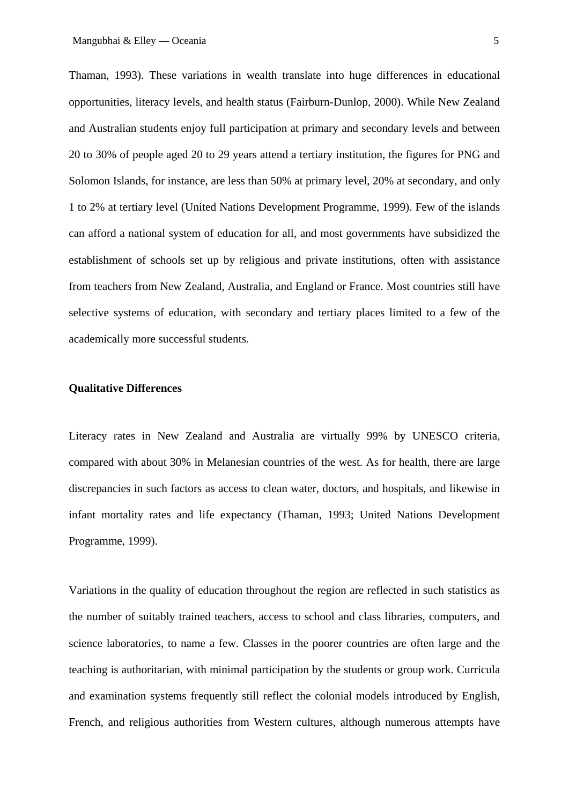Thaman, 1993). These variations in wealth translate into huge differences in educational opportunities, literacy levels, and health status (Fairburn-Dunlop, 2000). While New Zealand and Australian students enjoy full participation at primary and secondary levels and between 20 to 30% of people aged 20 to 29 years attend a tertiary institution, the figures for PNG and Solomon Islands, for instance, are less than 50% at primary level, 20% at secondary, and only 1 to 2% at tertiary level (United Nations Development Programme, 1999). Few of the islands can afford a national system of education for all, and most governments have subsidized the establishment of schools set up by religious and private institutions, often with assistance from teachers from New Zealand, Australia, and England or France. Most countries still have selective systems of education, with secondary and tertiary places limited to a few of the academically more successful students.

## **Qualitative Differences**

Literacy rates in New Zealand and Australia are virtually 99% by UNESCO criteria, compared with about 30% in Melanesian countries of the west. As for health, there are large discrepancies in such factors as access to clean water, doctors, and hospitals, and likewise in infant mortality rates and life expectancy (Thaman, 1993; United Nations Development Programme, 1999).

Variations in the quality of education throughout the region are reflected in such statistics as the number of suitably trained teachers, access to school and class libraries, computers, and science laboratories, to name a few. Classes in the poorer countries are often large and the teaching is authoritarian, with minimal participation by the students or group work. Curricula and examination systems frequently still reflect the colonial models introduced by English, French, and religious authorities from Western cultures, although numerous attempts have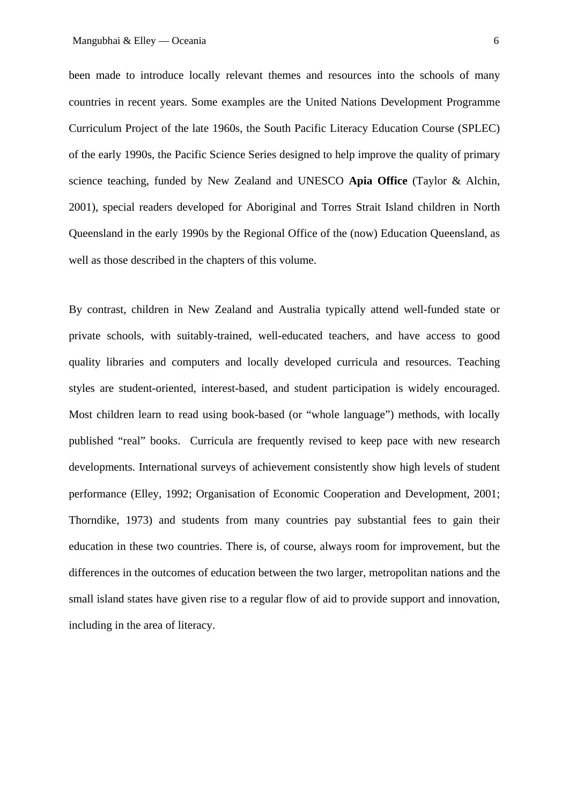been made to introduce locally relevant themes and resources into the schools of many countries in recent years. Some examples are the United Nations Development Programme Curriculum Project of the late 1960s, the South Pacific Literacy Education Course (SPLEC) of the early 1990s, the Pacific Science Series designed to help improve the quality of primary science teaching, funded by New Zealand and UNESCO **Apia Office** (Taylor & Alchin, 2001), special readers developed for Aboriginal and Torres Strait Island children in North Queensland in the early 1990s by the Regional Office of the (now) Education Queensland, as well as those described in the chapters of this volume.

By contrast, children in New Zealand and Australia typically attend well-funded state or private schools, with suitably-trained, well-educated teachers, and have access to good quality libraries and computers and locally developed curricula and resources. Teaching styles are student-oriented, interest-based, and student participation is widely encouraged. Most children learn to read using book-based (or "whole language") methods, with locally published "real" books. Curricula are frequently revised to keep pace with new research developments. International surveys of achievement consistently show high levels of student performance (Elley, 1992; Organisation of Economic Cooperation and Development, 2001; Thorndike, 1973) and students from many countries pay substantial fees to gain their education in these two countries. There is, of course, always room for improvement, but the differences in the outcomes of education between the two larger, metropolitan nations and the small island states have given rise to a regular flow of aid to provide support and innovation, including in the area of literacy.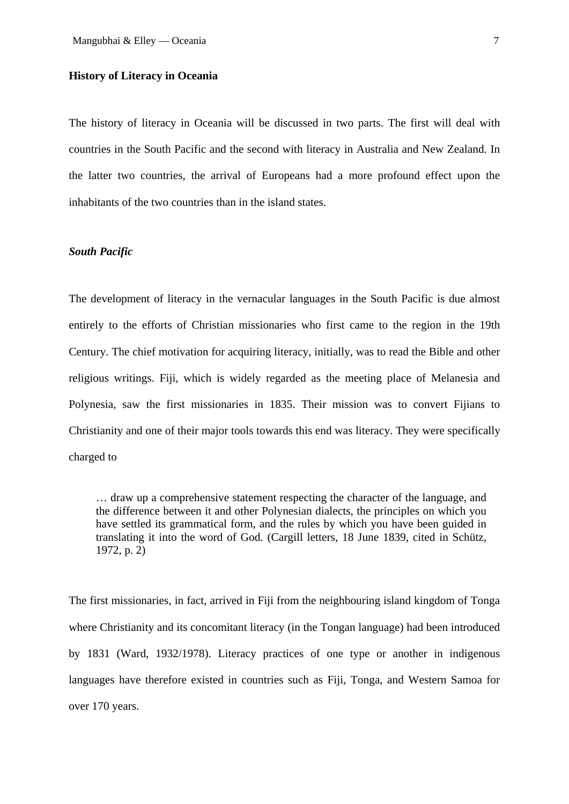#### **History of Literacy in Oceania**

The history of literacy in Oceania will be discussed in two parts. The first will deal with countries in the South Pacific and the second with literacy in Australia and New Zealand. In the latter two countries, the arrival of Europeans had a more profound effect upon the inhabitants of the two countries than in the island states.

#### *South Pacific*

The development of literacy in the vernacular languages in the South Pacific is due almost entirely to the efforts of Christian missionaries who first came to the region in the 19th Century. The chief motivation for acquiring literacy, initially, was to read the Bible and other religious writings. Fiji, which is widely regarded as the meeting place of Melanesia and Polynesia, saw the first missionaries in 1835. Their mission was to convert Fijians to Christianity and one of their major tools towards this end was literacy. They were specifically charged to

… draw up a comprehensive statement respecting the character of the language, and the difference between it and other Polynesian dialects, the principles on which you have settled its grammatical form, and the rules by which you have been guided in translating it into the word of God. (Cargill letters, 18 June 1839, cited in Schütz, 1972, p. 2)

The first missionaries, in fact, arrived in Fiji from the neighbouring island kingdom of Tonga where Christianity and its concomitant literacy (in the Tongan language) had been introduced by 1831 (Ward, 1932/1978). Literacy practices of one type or another in indigenous languages have therefore existed in countries such as Fiji, Tonga, and Western Samoa for over 170 years.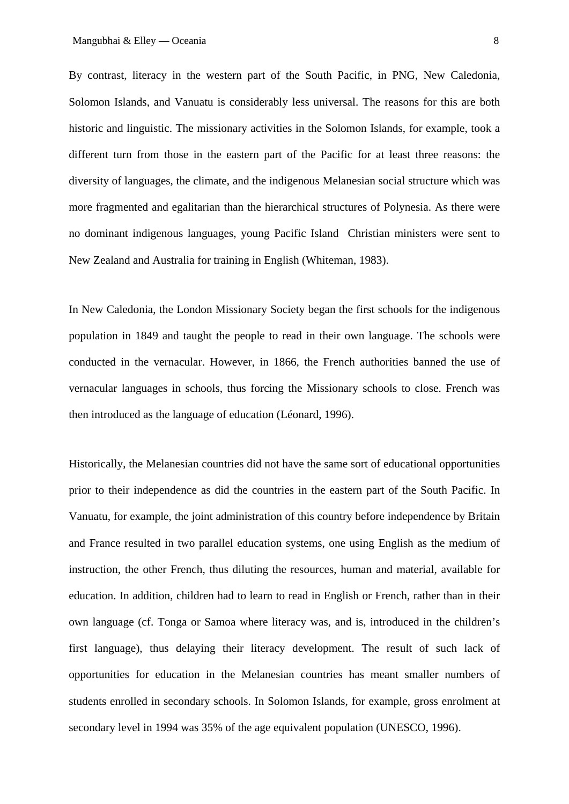By contrast, literacy in the western part of the South Pacific, in PNG, New Caledonia, Solomon Islands, and Vanuatu is considerably less universal. The reasons for this are both historic and linguistic. The missionary activities in the Solomon Islands, for example, took a different turn from those in the eastern part of the Pacific for at least three reasons: the diversity of languages, the climate, and the indigenous Melanesian social structure which was more fragmented and egalitarian than the hierarchical structures of Polynesia. As there were no dominant indigenous languages, young Pacific Island Christian ministers were sent to New Zealand and Australia for training in English (Whiteman, 1983).

In New Caledonia, the London Missionary Society began the first schools for the indigenous population in 1849 and taught the people to read in their own language. The schools were conducted in the vernacular. However, in 1866, the French authorities banned the use of vernacular languages in schools, thus forcing the Missionary schools to close. French was then introduced as the language of education (Léonard, 1996).

Historically, the Melanesian countries did not have the same sort of educational opportunities prior to their independence as did the countries in the eastern part of the South Pacific. In Vanuatu, for example, the joint administration of this country before independence by Britain and France resulted in two parallel education systems, one using English as the medium of instruction, the other French, thus diluting the resources, human and material, available for education. In addition, children had to learn to read in English or French, rather than in their own language (cf. Tonga or Samoa where literacy was, and is, introduced in the children's first language), thus delaying their literacy development. The result of such lack of opportunities for education in the Melanesian countries has meant smaller numbers of students enrolled in secondary schools. In Solomon Islands, for example, gross enrolment at secondary level in 1994 was 35% of the age equivalent population (UNESCO, 1996).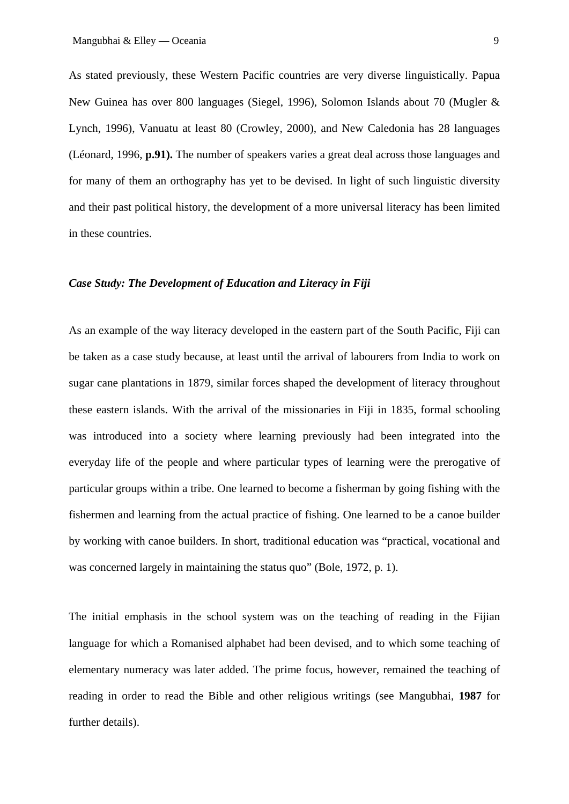As stated previously, these Western Pacific countries are very diverse linguistically. Papua New Guinea has over 800 languages (Siegel, 1996), Solomon Islands about 70 (Mugler & Lynch, 1996), Vanuatu at least 80 (Crowley, 2000), and New Caledonia has 28 languages (Léonard, 1996, **p.91).** The number of speakers varies a great deal across those languages and for many of them an orthography has yet to be devised. In light of such linguistic diversity and their past political history, the development of a more universal literacy has been limited in these countries.

## *Case Study: The Development of Education and Literacy in Fiji*

As an example of the way literacy developed in the eastern part of the South Pacific, Fiji can be taken as a case study because, at least until the arrival of labourers from India to work on sugar cane plantations in 1879, similar forces shaped the development of literacy throughout these eastern islands. With the arrival of the missionaries in Fiji in 1835, formal schooling was introduced into a society where learning previously had been integrated into the everyday life of the people and where particular types of learning were the prerogative of particular groups within a tribe. One learned to become a fisherman by going fishing with the fishermen and learning from the actual practice of fishing. One learned to be a canoe builder by working with canoe builders. In short, traditional education was "practical, vocational and was concerned largely in maintaining the status quo" (Bole, 1972, p. 1).

The initial emphasis in the school system was on the teaching of reading in the Fijian language for which a Romanised alphabet had been devised, and to which some teaching of elementary numeracy was later added. The prime focus, however, remained the teaching of reading in order to read the Bible and other religious writings (see Mangubhai, **1987** for further details).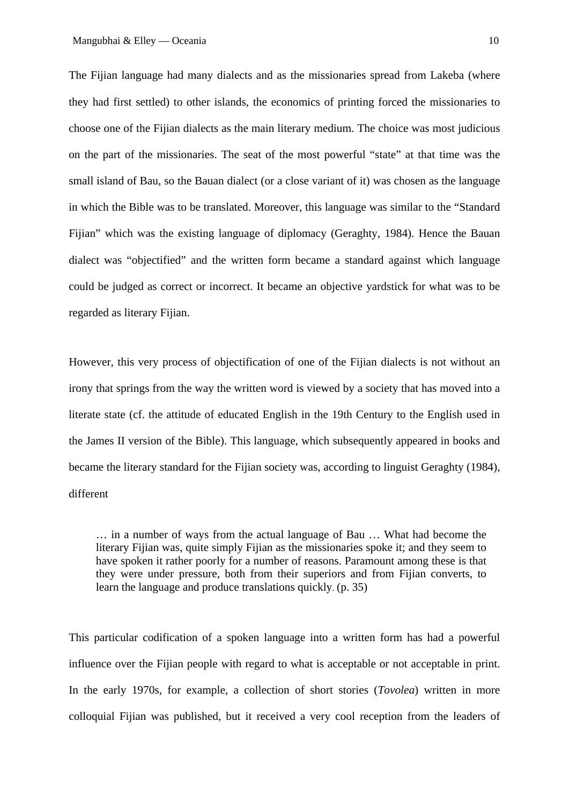The Fijian language had many dialects and as the missionaries spread from Lakeba (where they had first settled) to other islands, the economics of printing forced the missionaries to choose one of the Fijian dialects as the main literary medium. The choice was most judicious on the part of the missionaries. The seat of the most powerful "state" at that time was the small island of Bau, so the Bauan dialect (or a close variant of it) was chosen as the language in which the Bible was to be translated. Moreover, this language was similar to the "Standard Fijian" which was the existing language of diplomacy (Geraghty, 1984). Hence the Bauan dialect was "objectified" and the written form became a standard against which language could be judged as correct or incorrect. It became an objective yardstick for what was to be regarded as literary Fijian.

However, this very process of objectification of one of the Fijian dialects is not without an irony that springs from the way the written word is viewed by a society that has moved into a literate state (cf. the attitude of educated English in the 19th Century to the English used in the James II version of the Bible). This language, which subsequently appeared in books and became the literary standard for the Fijian society was, according to linguist Geraghty (1984), different

… in a number of ways from the actual language of Bau … What had become the literary Fijian was, quite simply Fijian as the missionaries spoke it; and they seem to have spoken it rather poorly for a number of reasons. Paramount among these is that they were under pressure, both from their superiors and from Fijian converts, to learn the language and produce translations quickly. (p. 35)

This particular codification of a spoken language into a written form has had a powerful influence over the Fijian people with regard to what is acceptable or not acceptable in print. In the early 1970s, for example, a collection of short stories (*Tovolea*) written in more colloquial Fijian was published, but it received a very cool reception from the leaders of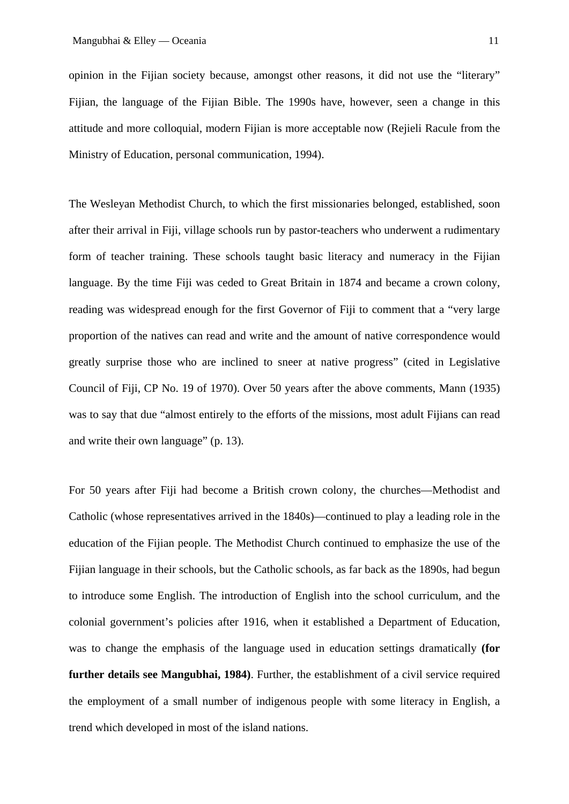opinion in the Fijian society because, amongst other reasons, it did not use the "literary" Fijian, the language of the Fijian Bible. The 1990s have, however, seen a change in this attitude and more colloquial, modern Fijian is more acceptable now (Rejieli Racule from the Ministry of Education, personal communication, 1994).

The Wesleyan Methodist Church, to which the first missionaries belonged, established, soon after their arrival in Fiji, village schools run by pastor-teachers who underwent a rudimentary form of teacher training. These schools taught basic literacy and numeracy in the Fijian language. By the time Fiji was ceded to Great Britain in 1874 and became a crown colony, reading was widespread enough for the first Governor of Fiji to comment that a "very large proportion of the natives can read and write and the amount of native correspondence would greatly surprise those who are inclined to sneer at native progress" (cited in Legislative Council of Fiji, CP No. 19 of 1970). Over 50 years after the above comments, Mann (1935) was to say that due "almost entirely to the efforts of the missions, most adult Fijians can read and write their own language" (p. 13).

For 50 years after Fiji had become a British crown colony, the churches—Methodist and Catholic (whose representatives arrived in the 1840s)—continued to play a leading role in the education of the Fijian people. The Methodist Church continued to emphasize the use of the Fijian language in their schools, but the Catholic schools, as far back as the 1890s, had begun to introduce some English. The introduction of English into the school curriculum, and the colonial government's policies after 1916, when it established a Department of Education, was to change the emphasis of the language used in education settings dramatically **(for further details see Mangubhai, 1984)**. Further, the establishment of a civil service required the employment of a small number of indigenous people with some literacy in English, a trend which developed in most of the island nations.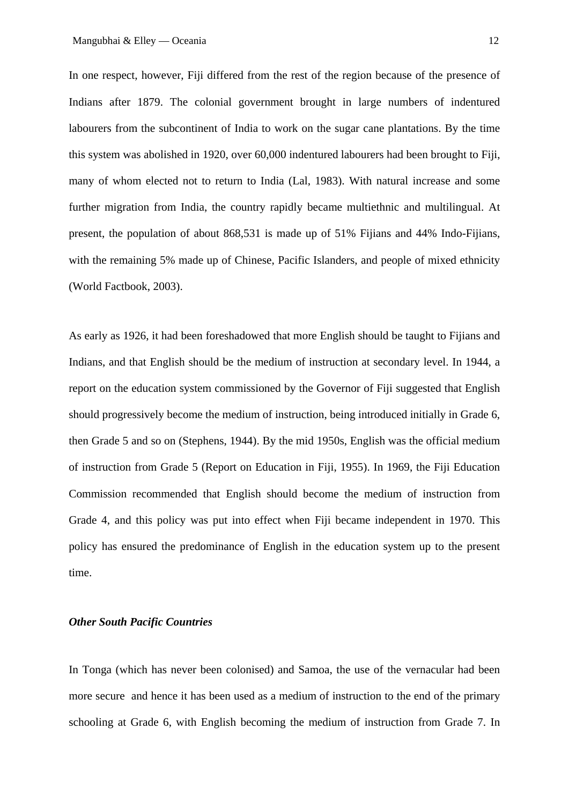In one respect, however, Fiji differed from the rest of the region because of the presence of Indians after 1879. The colonial government brought in large numbers of indentured labourers from the subcontinent of India to work on the sugar cane plantations. By the time this system was abolished in 1920, over 60,000 indentured labourers had been brought to Fiji, many of whom elected not to return to India (Lal, 1983). With natural increase and some further migration from India, the country rapidly became multiethnic and multilingual. At present, the population of about 868,531 is made up of 51% Fijians and 44% Indo-Fijians, with the remaining 5% made up of Chinese, Pacific Islanders, and people of mixed ethnicity (World Factbook, 2003).

As early as 1926, it had been foreshadowed that more English should be taught to Fijians and Indians, and that English should be the medium of instruction at secondary level. In 1944, a report on the education system commissioned by the Governor of Fiji suggested that English should progressively become the medium of instruction, being introduced initially in Grade 6, then Grade 5 and so on (Stephens, 1944). By the mid 1950s, English was the official medium of instruction from Grade 5 (Report on Education in Fiji, 1955). In 1969, the Fiji Education Commission recommended that English should become the medium of instruction from Grade 4, and this policy was put into effect when Fiji became independent in 1970. This policy has ensured the predominance of English in the education system up to the present time.

# *Other South Pacific Countries*

In Tonga (which has never been colonised) and Samoa, the use of the vernacular had been more secure and hence it has been used as a medium of instruction to the end of the primary schooling at Grade 6, with English becoming the medium of instruction from Grade 7. In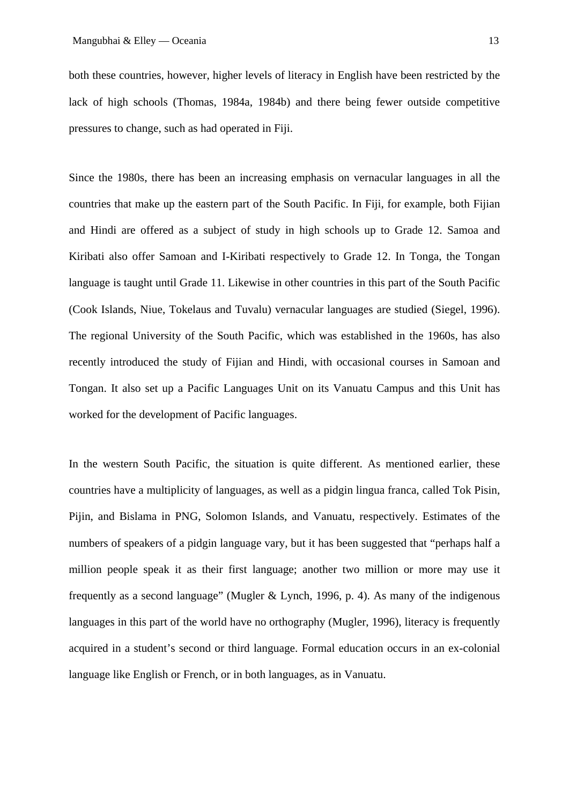both these countries, however, higher levels of literacy in English have been restricted by the lack of high schools (Thomas, 1984a, 1984b) and there being fewer outside competitive pressures to change, such as had operated in Fiji.

Since the 1980s, there has been an increasing emphasis on vernacular languages in all the countries that make up the eastern part of the South Pacific. In Fiji, for example, both Fijian and Hindi are offered as a subject of study in high schools up to Grade 12. Samoa and Kiribati also offer Samoan and I-Kiribati respectively to Grade 12. In Tonga, the Tongan language is taught until Grade 11. Likewise in other countries in this part of the South Pacific (Cook Islands, Niue, Tokelaus and Tuvalu) vernacular languages are studied (Siegel, 1996). The regional University of the South Pacific, which was established in the 1960s, has also recently introduced the study of Fijian and Hindi, with occasional courses in Samoan and Tongan. It also set up a Pacific Languages Unit on its Vanuatu Campus and this Unit has worked for the development of Pacific languages.

In the western South Pacific, the situation is quite different. As mentioned earlier, these countries have a multiplicity of languages, as well as a pidgin lingua franca, called Tok Pisin, Pijin, and Bislama in PNG, Solomon Islands, and Vanuatu, respectively. Estimates of the numbers of speakers of a pidgin language vary, but it has been suggested that "perhaps half a million people speak it as their first language; another two million or more may use it frequently as a second language" (Mugler & Lynch, 1996, p. 4). As many of the indigenous languages in this part of the world have no orthography (Mugler, 1996), literacy is frequently acquired in a student's second or third language. Formal education occurs in an ex-colonial language like English or French, or in both languages, as in Vanuatu.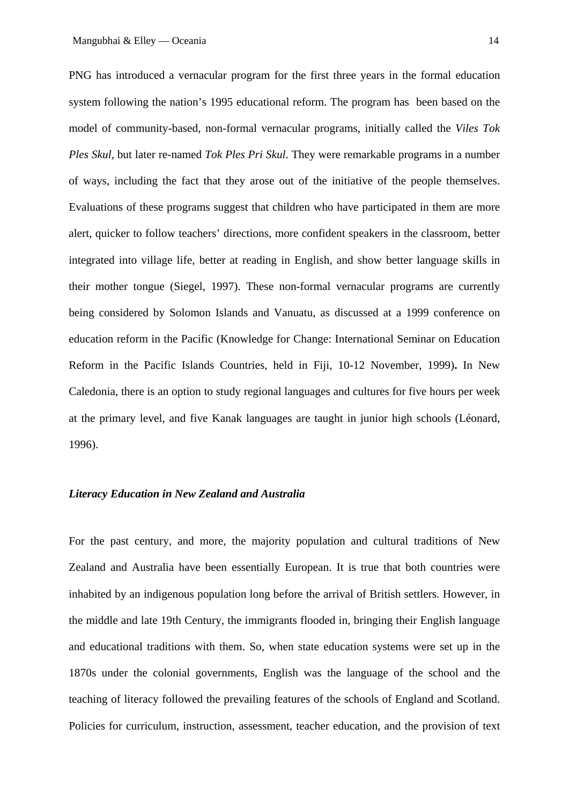PNG has introduced a vernacular program for the first three years in the formal education system following the nation's 1995 educational reform. The program has been based on the model of community-based, non-formal vernacular programs, initially called the *Viles Tok Ples Skul,* but later re-named *Tok Ples Pri Skul*. They were remarkable programs in a number of ways, including the fact that they arose out of the initiative of the people themselves. Evaluations of these programs suggest that children who have participated in them are more alert, quicker to follow teachers' directions, more confident speakers in the classroom, better integrated into village life, better at reading in English, and show better language skills in their mother tongue (Siegel, 1997). These non-formal vernacular programs are currently being considered by Solomon Islands and Vanuatu, as discussed at a 1999 conference on education reform in the Pacific (Knowledge for Change: International Seminar on Education Reform in the Pacific Islands Countries, held in Fiji, 10-12 November, 1999)**.** In New Caledonia, there is an option to study regional languages and cultures for five hours per week at the primary level, and five Kanak languages are taught in junior high schools (Léonard, 1996).

#### *Literacy Education in New Zealand and Australia*

For the past century, and more, the majority population and cultural traditions of New Zealand and Australia have been essentially European. It is true that both countries were inhabited by an indigenous population long before the arrival of British settlers. However, in the middle and late 19th Century, the immigrants flooded in, bringing their English language and educational traditions with them. So, when state education systems were set up in the 1870s under the colonial governments, English was the language of the school and the teaching of literacy followed the prevailing features of the schools of England and Scotland. Policies for curriculum, instruction, assessment, teacher education, and the provision of text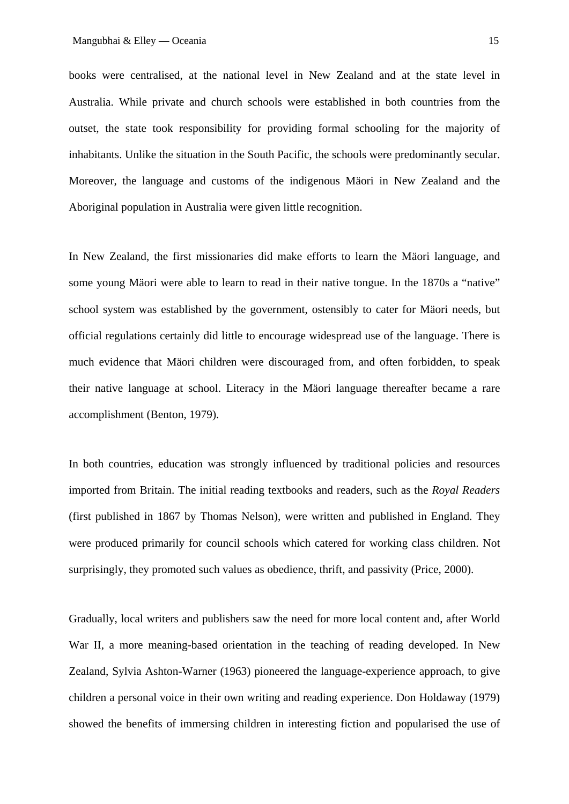books were centralised, at the national level in New Zealand and at the state level in Australia. While private and church schools were established in both countries from the outset, the state took responsibility for providing formal schooling for the majority of inhabitants. Unlike the situation in the South Pacific, the schools were predominantly secular. Moreover, the language and customs of the indigenous Mäori in New Zealand and the Aboriginal population in Australia were given little recognition.

In New Zealand, the first missionaries did make efforts to learn the Mäori language, and some young Mäori were able to learn to read in their native tongue. In the 1870s a "native" school system was established by the government, ostensibly to cater for Mäori needs, but official regulations certainly did little to encourage widespread use of the language. There is much evidence that Mäori children were discouraged from, and often forbidden, to speak their native language at school. Literacy in the Mäori language thereafter became a rare accomplishment (Benton, 1979).

In both countries, education was strongly influenced by traditional policies and resources imported from Britain. The initial reading textbooks and readers, such as the *Royal Readers*  (first published in 1867 by Thomas Nelson), were written and published in England. They were produced primarily for council schools which catered for working class children. Not surprisingly, they promoted such values as obedience, thrift, and passivity (Price, 2000).

Gradually, local writers and publishers saw the need for more local content and, after World War II, a more meaning-based orientation in the teaching of reading developed. In New Zealand, Sylvia Ashton-Warner (1963) pioneered the language-experience approach, to give children a personal voice in their own writing and reading experience. Don Holdaway (1979) showed the benefits of immersing children in interesting fiction and popularised the use of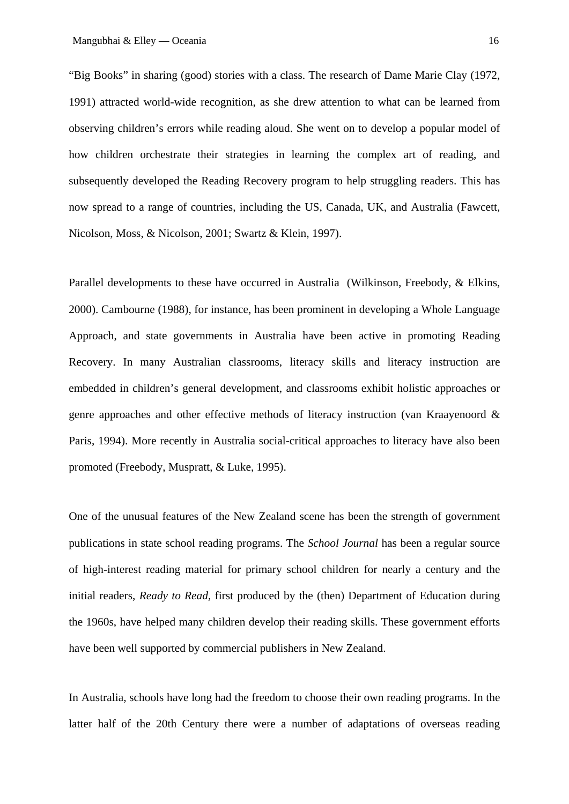"Big Books" in sharing (good) stories with a class. The research of Dame Marie Clay (1972, 1991) attracted world-wide recognition, as she drew attention to what can be learned from observing children's errors while reading aloud. She went on to develop a popular model of how children orchestrate their strategies in learning the complex art of reading, and subsequently developed the Reading Recovery program to help struggling readers. This has now spread to a range of countries, including the US, Canada, UK, and Australia (Fawcett, Nicolson, Moss, & Nicolson, 2001; Swartz & Klein, 1997).

Parallel developments to these have occurred in Australia (Wilkinson, Freebody, & Elkins, 2000). Cambourne (1988), for instance, has been prominent in developing a Whole Language Approach, and state governments in Australia have been active in promoting Reading Recovery. In many Australian classrooms, literacy skills and literacy instruction are embedded in children's general development, and classrooms exhibit holistic approaches or genre approaches and other effective methods of literacy instruction (van Kraayenoord & Paris, 1994). More recently in Australia social-critical approaches to literacy have also been promoted (Freebody, Muspratt, & Luke, 1995).

One of the unusual features of the New Zealand scene has been the strength of government publications in state school reading programs. The *School Journal* has been a regular source of high-interest reading material for primary school children for nearly a century and the initial readers, *Ready to Read,* first produced by the (then) Department of Education during the 1960s, have helped many children develop their reading skills. These government efforts have been well supported by commercial publishers in New Zealand.

In Australia, schools have long had the freedom to choose their own reading programs. In the latter half of the 20th Century there were a number of adaptations of overseas reading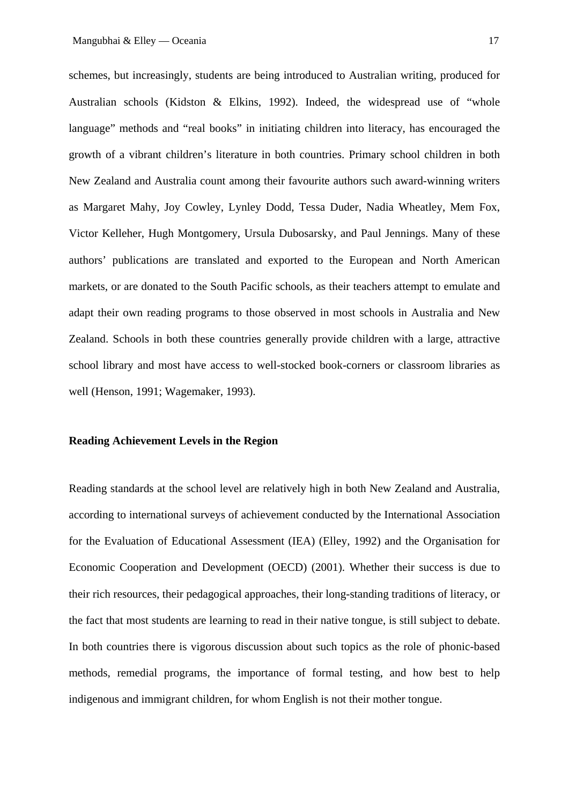schemes, but increasingly, students are being introduced to Australian writing, produced for Australian schools (Kidston & Elkins, 1992). Indeed, the widespread use of "whole language" methods and "real books" in initiating children into literacy, has encouraged the growth of a vibrant children's literature in both countries. Primary school children in both New Zealand and Australia count among their favourite authors such award-winning writers as Margaret Mahy, Joy Cowley, Lynley Dodd, Tessa Duder, Nadia Wheatley, Mem Fox, Victor Kelleher, Hugh Montgomery, Ursula Dubosarsky, and Paul Jennings. Many of these authors' publications are translated and exported to the European and North American markets, or are donated to the South Pacific schools, as their teachers attempt to emulate and adapt their own reading programs to those observed in most schools in Australia and New Zealand. Schools in both these countries generally provide children with a large, attractive school library and most have access to well-stocked book-corners or classroom libraries as well (Henson, 1991; Wagemaker, 1993).

## **Reading Achievement Levels in the Region**

Reading standards at the school level are relatively high in both New Zealand and Australia, according to international surveys of achievement conducted by the International Association for the Evaluation of Educational Assessment (IEA) (Elley, 1992) and the Organisation for Economic Cooperation and Development (OECD) (2001). Whether their success is due to their rich resources, their pedagogical approaches, their long-standing traditions of literacy, or the fact that most students are learning to read in their native tongue, is still subject to debate. In both countries there is vigorous discussion about such topics as the role of phonic-based methods, remedial programs, the importance of formal testing, and how best to help indigenous and immigrant children, for whom English is not their mother tongue.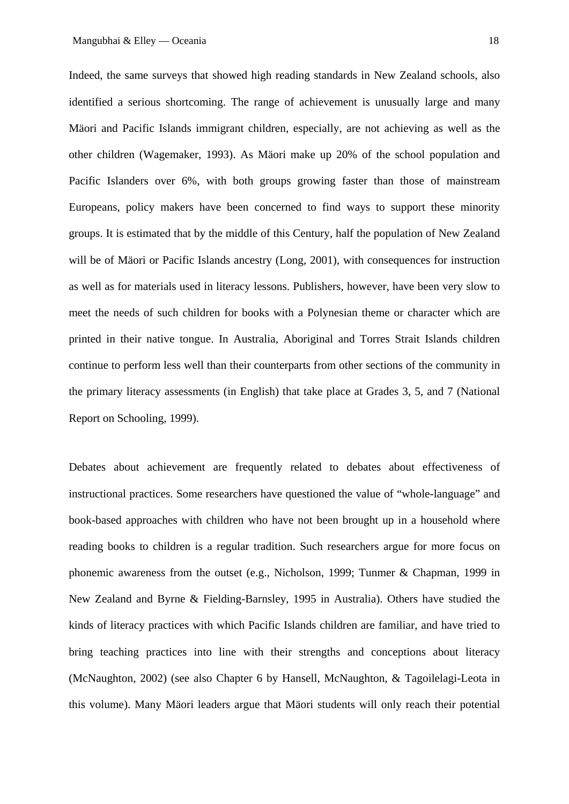Indeed, the same surveys that showed high reading standards in New Zealand schools, also identified a serious shortcoming. The range of achievement is unusually large and many Mäori and Pacific Islands immigrant children, especially, are not achieving as well as the other children (Wagemaker, 1993). As Mäori make up 20% of the school population and Pacific Islanders over 6%, with both groups growing faster than those of mainstream Europeans, policy makers have been concerned to find ways to support these minority groups. It is estimated that by the middle of this Century, half the population of New Zealand will be of Mäori or Pacific Islands ancestry (Long, 2001), with consequences for instruction as well as for materials used in literacy lessons. Publishers, however, have been very slow to meet the needs of such children for books with a Polynesian theme or character which are printed in their native tongue. In Australia, Aboriginal and Torres Strait Islands children continue to perform less well than their counterparts from other sections of the community in the primary literacy assessments (in English) that take place at Grades 3, 5, and 7 (National Report on Schooling, 1999).

Debates about achievement are frequently related to debates about effectiveness of instructional practices. Some researchers have questioned the value of "whole-language" and book-based approaches with children who have not been brought up in a household where reading books to children is a regular tradition. Such researchers argue for more focus on phonemic awareness from the outset (e.g., Nicholson, 1999; Tunmer & Chapman, 1999 in New Zealand and Byrne & Fielding-Barnsley, 1995 in Australia). Others have studied the kinds of literacy practices with which Pacific Islands children are familiar, and have tried to bring teaching practices into line with their strengths and conceptions about literacy (McNaughton, 2002) (see also Chapter 6 by Hansell, McNaughton, & Tagoilelagi-Leota in this volume). Many Mäori leaders argue that Mäori students will only reach their potential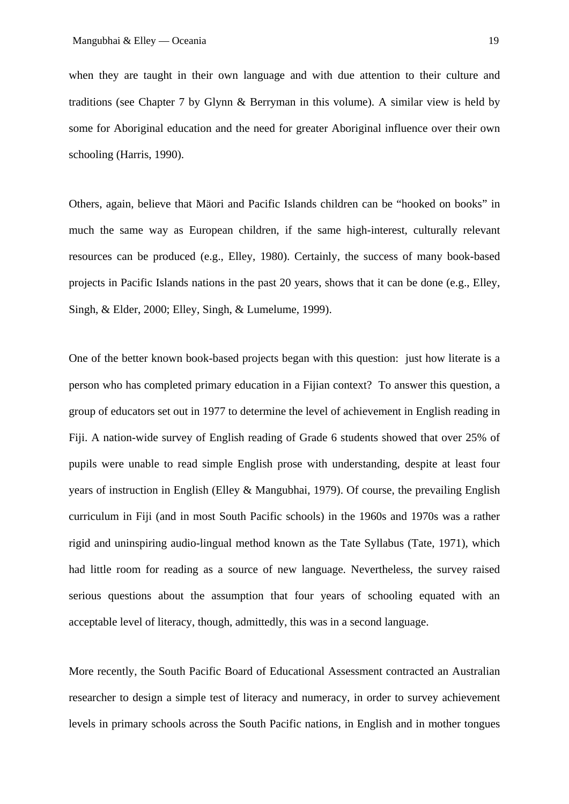when they are taught in their own language and with due attention to their culture and traditions (see Chapter 7 by Glynn & Berryman in this volume). A similar view is held by some for Aboriginal education and the need for greater Aboriginal influence over their own schooling (Harris, 1990).

Others, again, believe that Mäori and Pacific Islands children can be "hooked on books" in much the same way as European children, if the same high-interest, culturally relevant resources can be produced (e.g., Elley, 1980). Certainly, the success of many book-based projects in Pacific Islands nations in the past 20 years, shows that it can be done (e.g., Elley, Singh, & Elder, 2000; Elley, Singh, & Lumelume, 1999).

One of the better known book-based projects began with this question: just how literate is a person who has completed primary education in a Fijian context? To answer this question, a group of educators set out in 1977 to determine the level of achievement in English reading in Fiji. A nation-wide survey of English reading of Grade 6 students showed that over 25% of pupils were unable to read simple English prose with understanding, despite at least four years of instruction in English (Elley & Mangubhai, 1979). Of course, the prevailing English curriculum in Fiji (and in most South Pacific schools) in the 1960s and 1970s was a rather rigid and uninspiring audio-lingual method known as the Tate Syllabus (Tate, 1971), which had little room for reading as a source of new language. Nevertheless, the survey raised serious questions about the assumption that four years of schooling equated with an acceptable level of literacy, though, admittedly, this was in a second language.

More recently, the South Pacific Board of Educational Assessment contracted an Australian researcher to design a simple test of literacy and numeracy, in order to survey achievement levels in primary schools across the South Pacific nations, in English and in mother tongues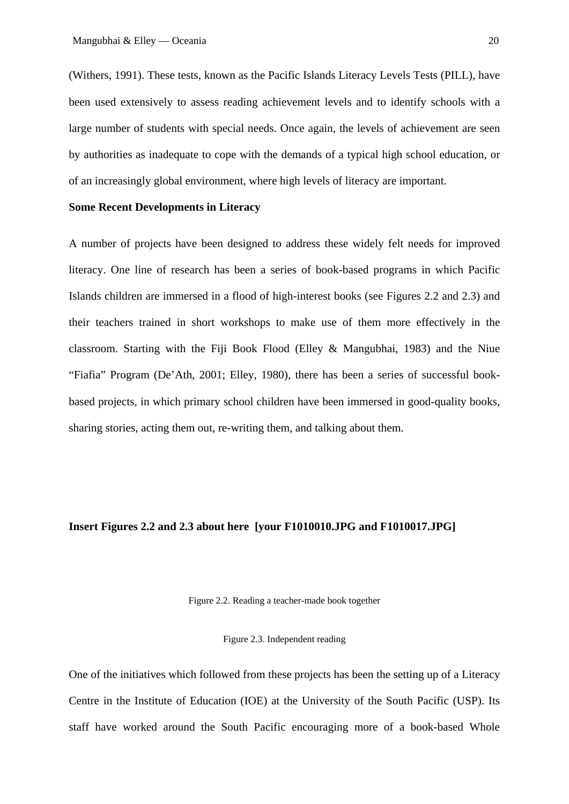(Withers, 1991). These tests, known as the Pacific Islands Literacy Levels Tests (PILL), have been used extensively to assess reading achievement levels and to identify schools with a large number of students with special needs. Once again, the levels of achievement are seen by authorities as inadequate to cope with the demands of a typical high school education, or of an increasingly global environment, where high levels of literacy are important.

## **Some Recent Developments in Literacy**

A number of projects have been designed to address these widely felt needs for improved literacy. One line of research has been a series of book-based programs in which Pacific Islands children are immersed in a flood of high-interest books (see Figures 2.2 and 2.3) and their teachers trained in short workshops to make use of them more effectively in the classroom. Starting with the Fiji Book Flood (Elley & Mangubhai, 1983) and the Niue "Fiafia" Program (De'Ath, 2001; Elley, 1980), there has been a series of successful bookbased projects, in which primary school children have been immersed in good-quality books, sharing stories, acting them out, re-writing them, and talking about them.

#### **Insert Figures 2.2 and 2.3 about here [your F1010010.JPG and F1010017.JPG]**

Figure 2.2. Reading a teacher-made book together

Figure 2.3. Independent reading

One of the initiatives which followed from these projects has been the setting up of a Literacy Centre in the Institute of Education (IOE) at the University of the South Pacific (USP). Its staff have worked around the South Pacific encouraging more of a book-based Whole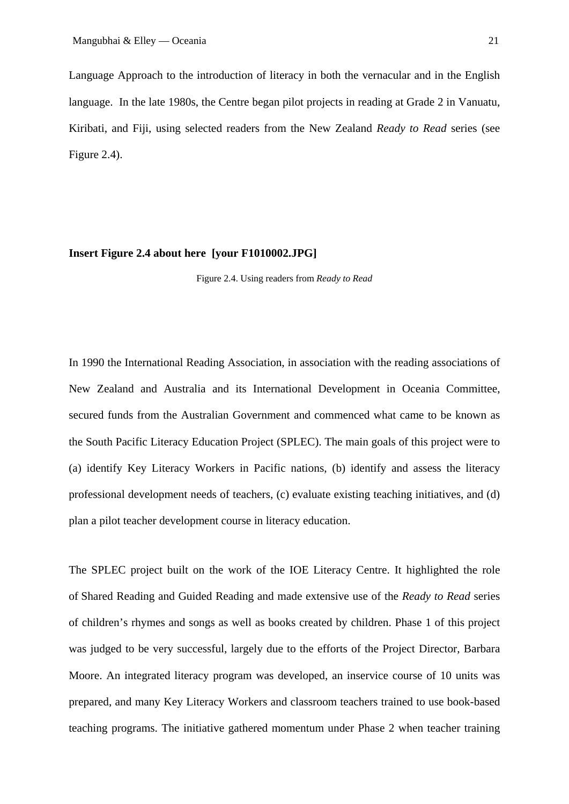Language Approach to the introduction of literacy in both the vernacular and in the English language. In the late 1980s, the Centre began pilot projects in reading at Grade 2 in Vanuatu, Kiribati, and Fiji, using selected readers from the New Zealand *Ready to Read* series (see Figure 2.4).

#### **Insert Figure 2.4 about here [your F1010002.JPG]**

Figure 2.4. Using readers from *Ready to Read*

In 1990 the International Reading Association, in association with the reading associations of New Zealand and Australia and its International Development in Oceania Committee, secured funds from the Australian Government and commenced what came to be known as the South Pacific Literacy Education Project (SPLEC). The main goals of this project were to (a) identify Key Literacy Workers in Pacific nations, (b) identify and assess the literacy professional development needs of teachers, (c) evaluate existing teaching initiatives, and (d) plan a pilot teacher development course in literacy education.

The SPLEC project built on the work of the IOE Literacy Centre. It highlighted the role of Shared Reading and Guided Reading and made extensive use of the *Ready to Read* series of children's rhymes and songs as well as books created by children. Phase 1 of this project was judged to be very successful, largely due to the efforts of the Project Director, Barbara Moore. An integrated literacy program was developed, an inservice course of 10 units was prepared, and many Key Literacy Workers and classroom teachers trained to use book-based teaching programs. The initiative gathered momentum under Phase 2 when teacher training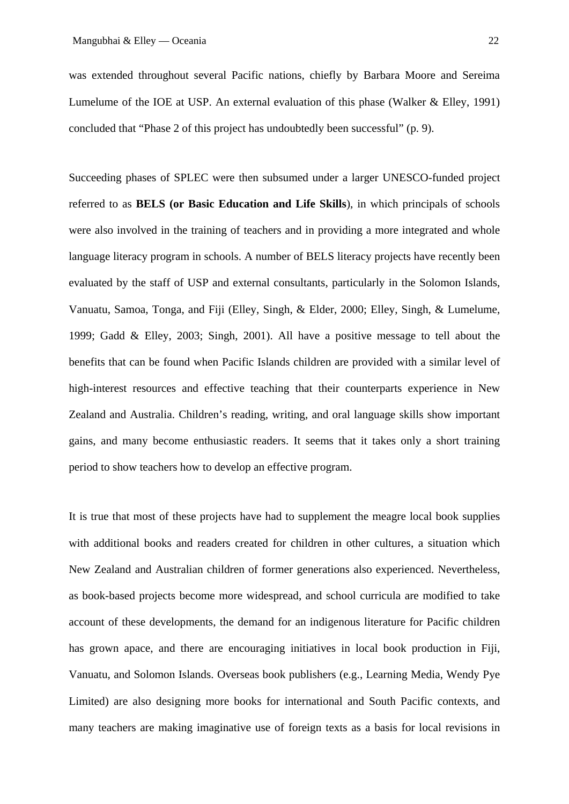was extended throughout several Pacific nations, chiefly by Barbara Moore and Sereima Lumelume of the IOE at USP. An external evaluation of this phase (Walker & Elley, 1991) concluded that "Phase 2 of this project has undoubtedly been successful" (p. 9).

Succeeding phases of SPLEC were then subsumed under a larger UNESCO-funded project referred to as **BELS (or Basic Education and Life Skills**), in which principals of schools were also involved in the training of teachers and in providing a more integrated and whole language literacy program in schools. A number of BELS literacy projects have recently been evaluated by the staff of USP and external consultants, particularly in the Solomon Islands, Vanuatu, Samoa, Tonga, and Fiji (Elley, Singh, & Elder, 2000; Elley, Singh, & Lumelume, 1999; Gadd & Elley, 2003; Singh, 2001). All have a positive message to tell about the benefits that can be found when Pacific Islands children are provided with a similar level of high-interest resources and effective teaching that their counterparts experience in New Zealand and Australia. Children's reading, writing, and oral language skills show important gains, and many become enthusiastic readers. It seems that it takes only a short training period to show teachers how to develop an effective program.

It is true that most of these projects have had to supplement the meagre local book supplies with additional books and readers created for children in other cultures, a situation which New Zealand and Australian children of former generations also experienced. Nevertheless, as book-based projects become more widespread, and school curricula are modified to take account of these developments, the demand for an indigenous literature for Pacific children has grown apace, and there are encouraging initiatives in local book production in Fiji, Vanuatu, and Solomon Islands. Overseas book publishers (e.g., Learning Media, Wendy Pye Limited) are also designing more books for international and South Pacific contexts, and many teachers are making imaginative use of foreign texts as a basis for local revisions in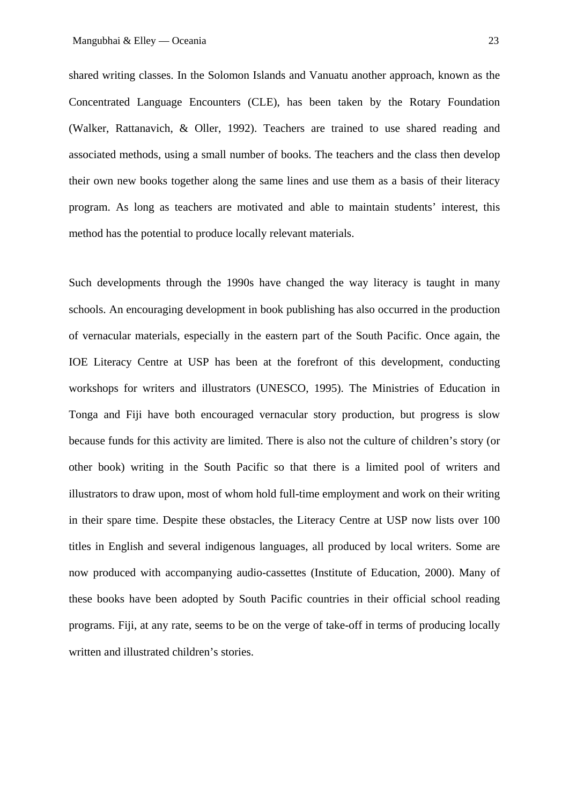shared writing classes. In the Solomon Islands and Vanuatu another approach, known as the Concentrated Language Encounters (CLE), has been taken by the Rotary Foundation (Walker, Rattanavich, & Oller, 1992). Teachers are trained to use shared reading and associated methods, using a small number of books. The teachers and the class then develop their own new books together along the same lines and use them as a basis of their literacy program. As long as teachers are motivated and able to maintain students' interest, this method has the potential to produce locally relevant materials.

Such developments through the 1990s have changed the way literacy is taught in many schools. An encouraging development in book publishing has also occurred in the production of vernacular materials, especially in the eastern part of the South Pacific. Once again, the IOE Literacy Centre at USP has been at the forefront of this development, conducting workshops for writers and illustrators (UNESCO, 1995). The Ministries of Education in Tonga and Fiji have both encouraged vernacular story production, but progress is slow because funds for this activity are limited. There is also not the culture of children's story (or other book) writing in the South Pacific so that there is a limited pool of writers and illustrators to draw upon, most of whom hold full-time employment and work on their writing in their spare time. Despite these obstacles, the Literacy Centre at USP now lists over 100 titles in English and several indigenous languages, all produced by local writers. Some are now produced with accompanying audio-cassettes (Institute of Education, 2000). Many of these books have been adopted by South Pacific countries in their official school reading programs. Fiji, at any rate, seems to be on the verge of take-off in terms of producing locally written and illustrated children's stories.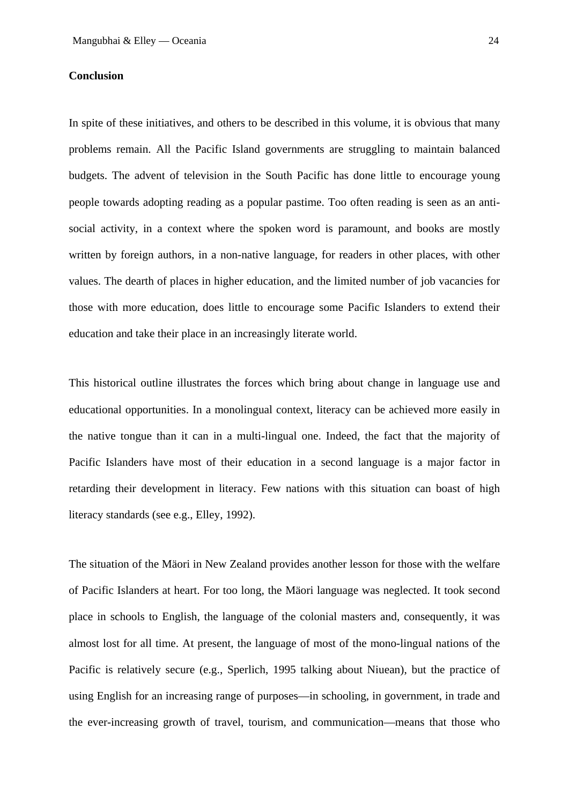## **Conclusion**

In spite of these initiatives, and others to be described in this volume, it is obvious that many problems remain. All the Pacific Island governments are struggling to maintain balanced budgets. The advent of television in the South Pacific has done little to encourage young people towards adopting reading as a popular pastime. Too often reading is seen as an antisocial activity, in a context where the spoken word is paramount, and books are mostly written by foreign authors, in a non-native language, for readers in other places, with other values. The dearth of places in higher education, and the limited number of job vacancies for those with more education, does little to encourage some Pacific Islanders to extend their education and take their place in an increasingly literate world.

This historical outline illustrates the forces which bring about change in language use and educational opportunities. In a monolingual context, literacy can be achieved more easily in the native tongue than it can in a multi-lingual one. Indeed, the fact that the majority of Pacific Islanders have most of their education in a second language is a major factor in retarding their development in literacy. Few nations with this situation can boast of high literacy standards (see e.g., Elley, 1992).

The situation of the Mäori in New Zealand provides another lesson for those with the welfare of Pacific Islanders at heart. For too long, the Mäori language was neglected. It took second place in schools to English, the language of the colonial masters and, consequently, it was almost lost for all time. At present, the language of most of the mono-lingual nations of the Pacific is relatively secure (e.g., Sperlich, 1995 talking about Niuean), but the practice of using English for an increasing range of purposes—in schooling, in government, in trade and the ever-increasing growth of travel, tourism, and communication—means that those who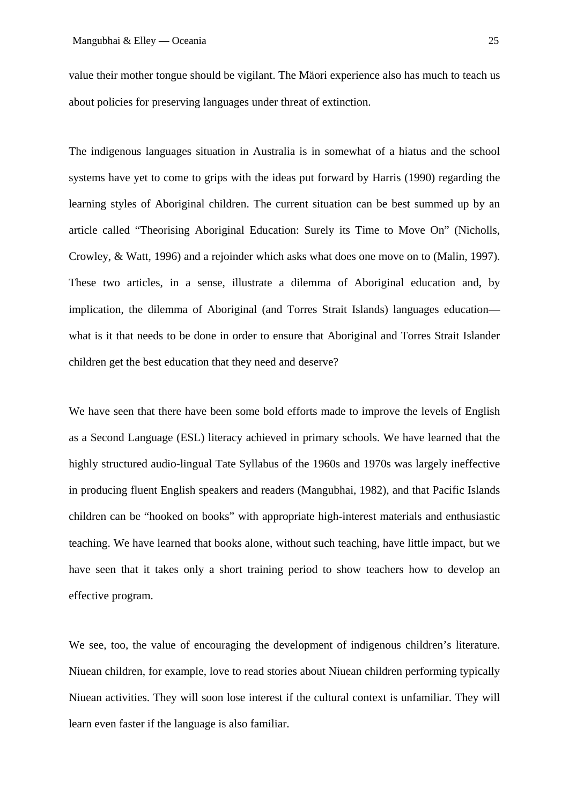value their mother tongue should be vigilant. The Mäori experience also has much to teach us about policies for preserving languages under threat of extinction.

The indigenous languages situation in Australia is in somewhat of a hiatus and the school systems have yet to come to grips with the ideas put forward by Harris (1990) regarding the learning styles of Aboriginal children. The current situation can be best summed up by an article called "Theorising Aboriginal Education: Surely its Time to Move On" (Nicholls, Crowley, & Watt, 1996) and a rejoinder which asks what does one move on to (Malin, 1997). These two articles, in a sense, illustrate a dilemma of Aboriginal education and, by implication, the dilemma of Aboriginal (and Torres Strait Islands) languages education what is it that needs to be done in order to ensure that Aboriginal and Torres Strait Islander children get the best education that they need and deserve?

We have seen that there have been some bold efforts made to improve the levels of English as a Second Language (ESL) literacy achieved in primary schools. We have learned that the highly structured audio-lingual Tate Syllabus of the 1960s and 1970s was largely ineffective in producing fluent English speakers and readers (Mangubhai, 1982), and that Pacific Islands children can be "hooked on books" with appropriate high-interest materials and enthusiastic teaching. We have learned that books alone, without such teaching, have little impact, but we have seen that it takes only a short training period to show teachers how to develop an effective program.

We see, too, the value of encouraging the development of indigenous children's literature. Niuean children, for example, love to read stories about Niuean children performing typically Niuean activities. They will soon lose interest if the cultural context is unfamiliar. They will learn even faster if the language is also familiar.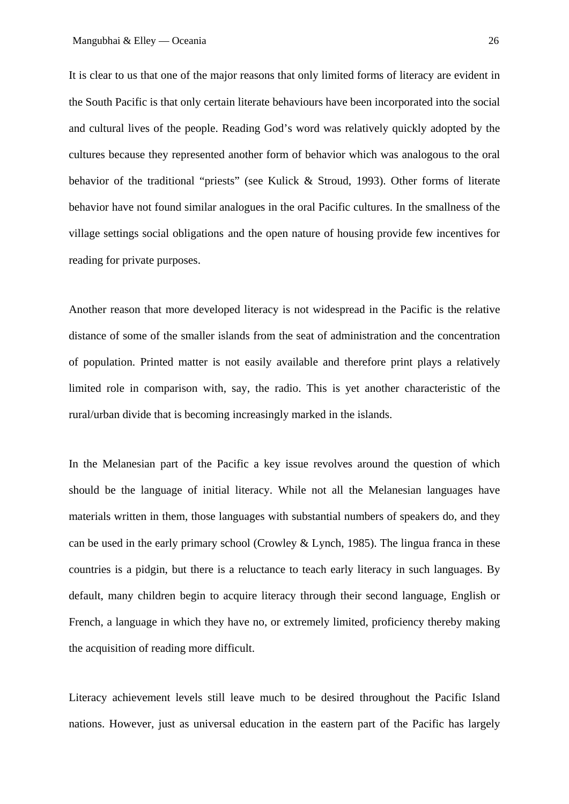It is clear to us that one of the major reasons that only limited forms of literacy are evident in the South Pacific is that only certain literate behaviours have been incorporated into the social and cultural lives of the people. Reading God's word was relatively quickly adopted by the cultures because they represented another form of behavior which was analogous to the oral behavior of the traditional "priests" (see Kulick & Stroud, 1993). Other forms of literate behavior have not found similar analogues in the oral Pacific cultures. In the smallness of the village settings social obligations and the open nature of housing provide few incentives for reading for private purposes.

Another reason that more developed literacy is not widespread in the Pacific is the relative distance of some of the smaller islands from the seat of administration and the concentration of population. Printed matter is not easily available and therefore print plays a relatively limited role in comparison with, say, the radio. This is yet another characteristic of the rural/urban divide that is becoming increasingly marked in the islands.

In the Melanesian part of the Pacific a key issue revolves around the question of which should be the language of initial literacy. While not all the Melanesian languages have materials written in them, those languages with substantial numbers of speakers do, and they can be used in the early primary school (Crowley & Lynch, 1985). The lingua franca in these countries is a pidgin, but there is a reluctance to teach early literacy in such languages. By default, many children begin to acquire literacy through their second language, English or French, a language in which they have no, or extremely limited, proficiency thereby making the acquisition of reading more difficult.

Literacy achievement levels still leave much to be desired throughout the Pacific Island nations. However, just as universal education in the eastern part of the Pacific has largely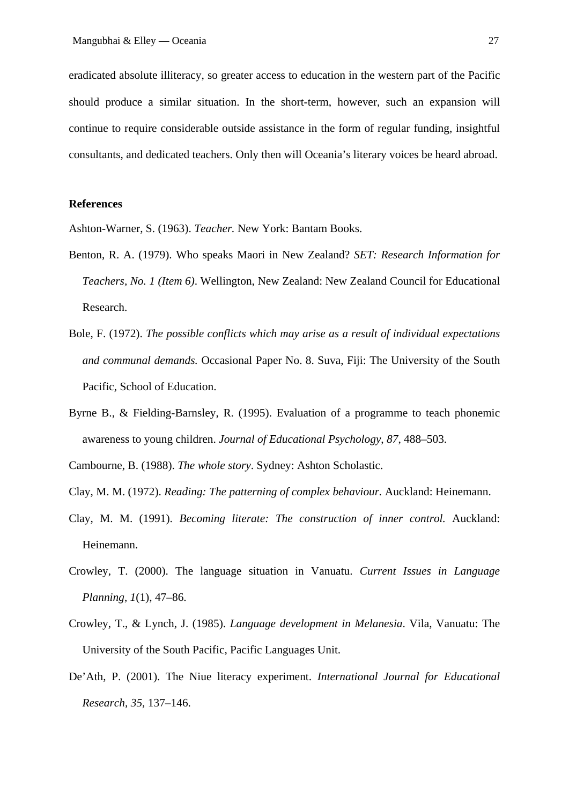eradicated absolute illiteracy, so greater access to education in the western part of the Pacific should produce a similar situation. In the short-term, however, such an expansion will continue to require considerable outside assistance in the form of regular funding, insightful consultants, and dedicated teachers. Only then will Oceania's literary voices be heard abroad.

# **References**

Ashton-Warner, S. (1963). *Teacher.* New York: Bantam Books.

- Benton, R. A. (1979). Who speaks Maori in New Zealand? *SET: Research Information for Teachers, No. 1 (Item 6)*. Wellington, New Zealand: New Zealand Council for Educational Research.
- Bole, F. (1972). *The possible conflicts which may arise as a result of individual expectations and communal demands.* Occasional Paper No. 8. Suva, Fiji: The University of the South Pacific, School of Education.
- Byrne B., & Fielding-Barnsley, R. (1995). Evaluation of a programme to teach phonemic awareness to young children. *Journal of Educational Psychology*, *87*, 488–503.
- Cambourne, B. (1988). *The whole story*. Sydney: Ashton Scholastic.
- Clay, M. M. (1972). *Reading: The patterning of complex behaviour.* Auckland: Heinemann.
- Clay, M. M. (1991). *Becoming literate: The construction of inner control.* Auckland: Heinemann.
- Crowley, T. (2000). The language situation in Vanuatu. *Current Issues in Language Planning*, *1*(1), 47–86.
- Crowley, T., & Lynch, J. (1985). *Language development in Melanesia*. Vila, Vanuatu: The University of the South Pacific, Pacific Languages Unit.
- De'Ath, P. (2001). The Niue literacy experiment. *International Journal for Educational Research, 35,* 137–146.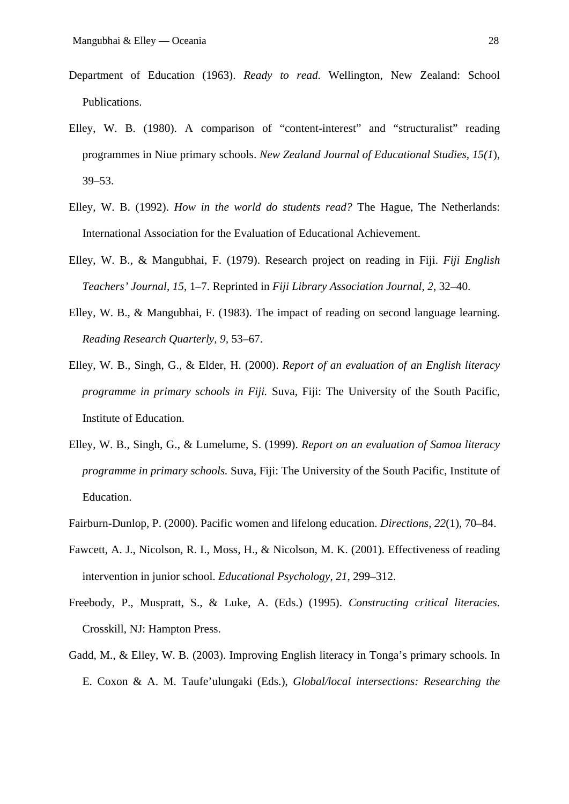- Department of Education (1963). *Ready to read*. Wellington, New Zealand: School Publications.
- Elley, W. B. (1980). A comparison of "content-interest" and "structuralist" reading programmes in Niue primary schools. *New Zealand Journal of Educational Studies, 15(1*), 39–53.
- Elley, W. B. (1992). *How in the world do students read?* The Hague, The Netherlands: International Association for the Evaluation of Educational Achievement.
- Elley, W. B., & Mangubhai, F. (1979). Research project on reading in Fiji. *Fiji English Teachers' Journal*, *15*, 1–7. Reprinted in *Fiji Library Association Journal*, *2*, 32–40.
- Elley, W. B., & Mangubhai, F. (1983). The impact of reading on second language learning. *Reading Research Quarterly, 9,* 53–67.
- Elley, W. B., Singh, G., & Elder, H. (2000). *Report of an evaluation of an English literacy programme in primary schools in Fiji.* Suva, Fiji: The University of the South Pacific, Institute of Education.
- Elley, W. B., Singh, G., & Lumelume, S. (1999). *Report on an evaluation of Samoa literacy programme in primary schools.* Suva, Fiji: The University of the South Pacific, Institute of Education.
- Fairburn-Dunlop, P. (2000). Pacific women and lifelong education. *Directions, 22*(1)*,* 70–84.
- Fawcett, A. J., Nicolson, R. I., Moss, H., & Nicolson, M. K. (2001). Effectiveness of reading intervention in junior school. *Educational Psychology, 21,* 299–312.
- Freebody, P., Muspratt, S., & Luke, A. (Eds.) (1995). *Constructing critical literacies*. Crosskill, NJ: Hampton Press.
- Gadd, M., & Elley, W. B. (2003). Improving English literacy in Tonga's primary schools. In E. Coxon & A. M. Taufe'ulungaki (Eds.), *Global/local intersections: Researching the*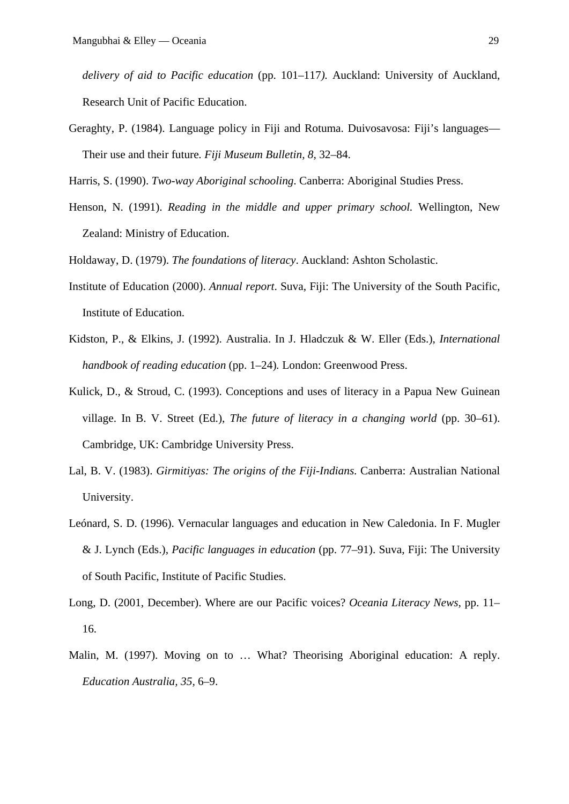*delivery of aid to Pacific education* (pp. 101–117*).* Auckland: University of Auckland, Research Unit of Pacific Education.

Geraghty, P. (1984). Language policy in Fiji and Rotuma. Duivosavosa: Fiji's languages— Their use and their future*. Fiji Museum Bulletin, 8*, 32–84.

Harris, S. (1990). *Two-way Aboriginal schooling*. Canberra: Aboriginal Studies Press.

Henson, N. (1991). *Reading in the middle and upper primary school.* Wellington, New Zealand: Ministry of Education.

Holdaway, D. (1979). *The foundations of literacy*. Auckland: Ashton Scholastic.

- Institute of Education (2000). *Annual report*. Suva, Fiji: The University of the South Pacific, Institute of Education.
- Kidston, P., & Elkins, J. (1992). Australia. In J. Hladczuk & W. Eller (Eds.), *International handbook of reading education* (pp. 1–24)*.* London: Greenwood Press.
- Kulick, D., & Stroud, C. (1993). Conceptions and uses of literacy in a Papua New Guinean village. In B. V. Street (Ed.), *The future of literacy in a changing world* (pp. 30–61). Cambridge, UK: Cambridge University Press.
- Lal, B. V. (1983). *Girmitiyas: The origins of the Fiji-Indians*. Canberra: Australian National University.
- Leónard, S. D. (1996). Vernacular languages and education in New Caledonia. In F. Mugler & J. Lynch (Eds.), *Pacific languages in education* (pp. 77–91). Suva, Fiji: The University of South Pacific, Institute of Pacific Studies.
- Long, D. (2001, December). Where are our Pacific voices? *Oceania Literacy News,* pp. 11– 16.
- Malin, M. (1997). Moving on to … What? Theorising Aboriginal education: A reply. *Education Australia, 35,* 6–9.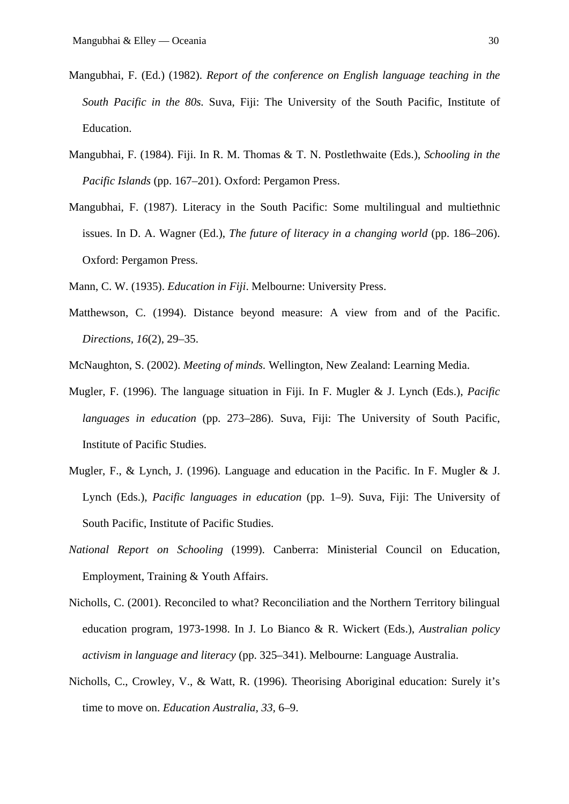- Mangubhai, F. (Ed.) (1982). *Report of the conference on English language teaching in the South Pacific in the 80s.* Suva, Fiji: The University of the South Pacific, Institute of Education.
- Mangubhai, F. (1984). Fiji. In R. M. Thomas & T. N. Postlethwaite (Eds.), *Schooling in the Pacific Islands* (pp. 167–201). Oxford: Pergamon Press.
- Mangubhai, F. (1987). Literacy in the South Pacific: Some multilingual and multiethnic issues. In D. A. Wagner (Ed.), *The future of literacy in a changing world* (pp. 186–206). Oxford: Pergamon Press.
- Mann, C. W. (1935). *Education in Fiji*. Melbourne: University Press.
- Matthewson, C. (1994). Distance beyond measure: A view from and of the Pacific. *Directions, 16*(2), 29–35.
- McNaughton, S. (2002). *Meeting of minds.* Wellington, New Zealand: Learning Media.
- Mugler, F. (1996). The language situation in Fiji. In F. Mugler & J. Lynch (Eds.), *Pacific languages in education* (pp. 273–286). Suva, Fiji: The University of South Pacific, Institute of Pacific Studies.
- Mugler, F., & Lynch, J. (1996). Language and education in the Pacific. In F. Mugler & J. Lynch (Eds.), *Pacific languages in education* (pp. 1–9). Suva, Fiji: The University of South Pacific, Institute of Pacific Studies.
- *National Report on Schooling* (1999). Canberra: Ministerial Council on Education, Employment, Training & Youth Affairs.
- Nicholls, C. (2001). Reconciled to what? Reconciliation and the Northern Territory bilingual education program, 1973-1998. In J. Lo Bianco & R. Wickert (Eds.), *Australian policy activism in language and literacy* (pp. 325–341). Melbourne: Language Australia.
- Nicholls, C., Crowley, V., & Watt, R. (1996). Theorising Aboriginal education: Surely it's time to move on. *Education Australia, 33,* 6–9.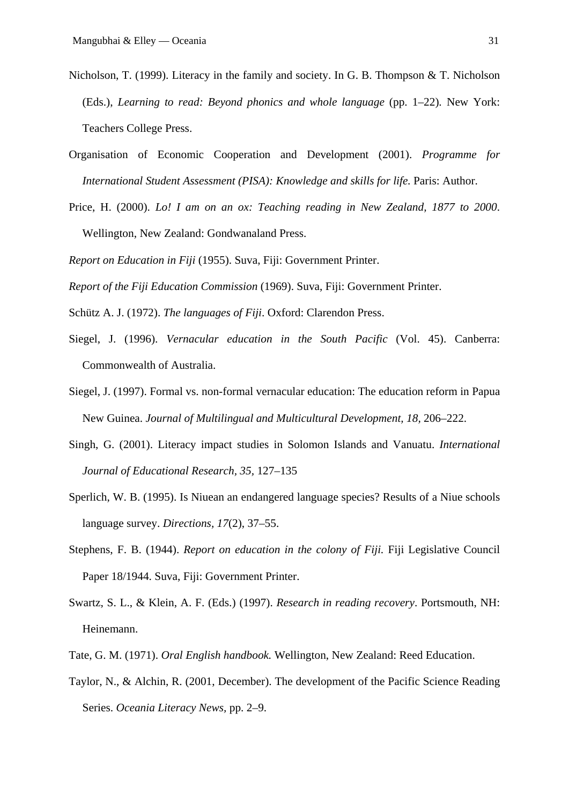- Nicholson, T. (1999). Literacy in the family and society. In G. B. Thompson & T. Nicholson (Eds.), *Learning to read: Beyond phonics and whole language* (pp. 1–22)*.* New York: Teachers College Press.
- Organisation of Economic Cooperation and Development (2001). *Programme for International Student Assessment (PISA): Knowledge and skills for life.* Paris: Author.
- Price, H. (2000). *Lo! I am on an ox: Teaching reading in New Zealand, 1877 to 2000*. Wellington, New Zealand: Gondwanaland Press.

*Report on Education in Fiji* (1955). Suva, Fiji: Government Printer.

*Report of the Fiji Education Commission* (1969). Suva, Fiji: Government Printer.

- Schütz A. J. (1972). *The languages of Fiji*. Oxford: Clarendon Press.
- Siegel, J. (1996). *Vernacular education in the South Pacific* (Vol. 45). Canberra: Commonwealth of Australia.
- Siegel, J. (1997). Formal vs. non-formal vernacular education: The education reform in Papua New Guinea. *Journal of Multilingual and Multicultural Development, 18,* 206–222.
- Singh, G. (2001). Literacy impact studies in Solomon Islands and Vanuatu. *International Journal of Educational Research, 35,* 127–135
- Sperlich, W. B. (1995). Is Niuean an endangered language species? Results of a Niue schools language survey. *Directions, 17*(2), 37–55.
- Stephens, F. B. (1944). *Report on education in the colony of Fiji.* Fiji Legislative Council Paper 18/1944. Suva, Fiji: Government Printer.
- Swartz, S. L., & Klein, A. F. (Eds.) (1997). *Research in reading recovery*. Portsmouth, NH: Heinemann.
- Tate, G. M. (1971). *Oral English handbook.* Wellington, New Zealand: Reed Education.
- Taylor, N., & Alchin, R. (2001, December). The development of the Pacific Science Reading Series. *Oceania Literacy News,* pp. 2–9.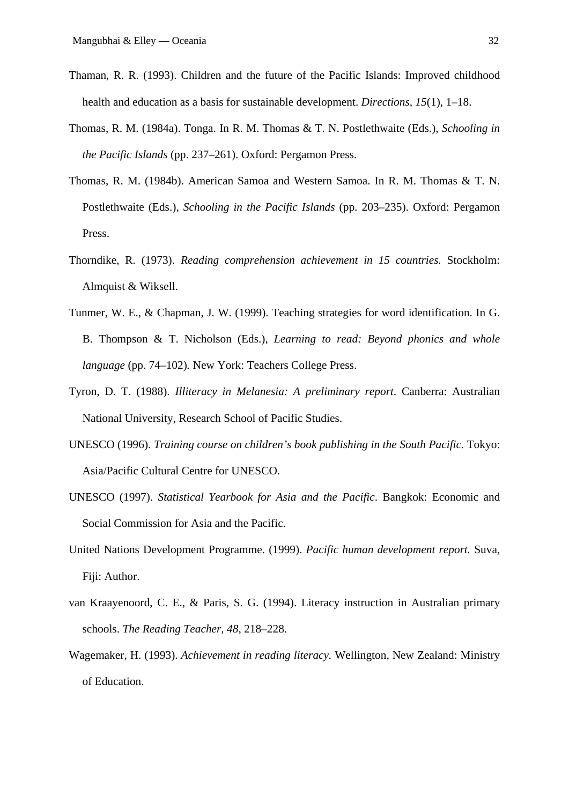- Thaman, R. R. (1993). Children and the future of the Pacific Islands: Improved childhood health and education as a basis for sustainable development. *Directions, 15*(1), 1–18.
- Thomas, R. M. (1984a). Tonga. In R. M. Thomas & T. N. Postlethwaite (Eds.), *Schooling in the Pacific Islands* (pp. 237–261). Oxford: Pergamon Press.
- Thomas, R. M. (1984b). American Samoa and Western Samoa. In R. M. Thomas & T. N. Postlethwaite (Eds.), *Schooling in the Pacific Islands* (pp. 203–235). Oxford: Pergamon Press.
- Thorndike, R. (1973). *Reading comprehension achievement in 15 countries.* Stockholm: Almquist & Wiksell.
- Tunmer, W. E., & Chapman, J. W. (1999). Teaching strategies for word identification. In G. B. Thompson & T. Nicholson (Eds.), *Learning to read: Beyond phonics and whole language* (pp. 74–102)*.* New York: Teachers College Press.
- Tyron, D. T. (1988). *Illiteracy in Melanesia: A preliminary report*. Canberra: Australian National University, Research School of Pacific Studies.
- UNESCO (1996). *Training course on children's book publishing in the South Pacific.* Tokyo: Asia/Pacific Cultural Centre for UNESCO.
- UNESCO (1997). *Statistical Yearbook for Asia and the Pacific*. Bangkok: Economic and Social Commission for Asia and the Pacific.
- United Nations Development Programme. (1999). *Pacific human development report.* Suva, Fiji: Author.
- van Kraayenoord, C. E., & Paris, S. G. (1994). Literacy instruction in Australian primary schools. *The Reading Teacher, 48,* 218–228.
- Wagemaker, H. (1993). *Achievement in reading literacy.* Wellington, New Zealand: Ministry of Education.